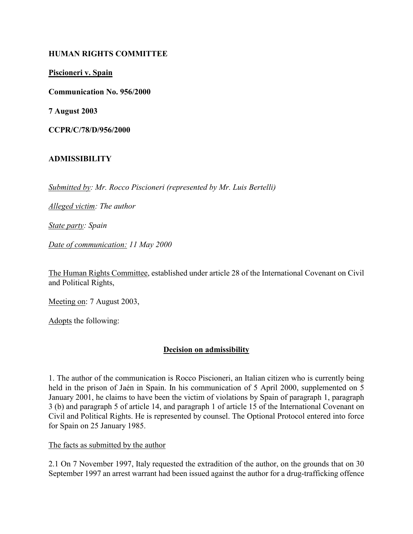## HUMAN RIGHTS COMMITTEE

Piscioneri v. Spain

Communication No. 956/2000

7 August 2003

CCPR/C/78/D/956/2000

# ADMISSIBILITY

Submitted by: Mr. Rocco Piscioneri (represented by Mr. Luis Bertelli)

Alleged victim: The author

State party: Spain

Date of communication: 11 May 2000

The Human Rights Committee, established under article 28 of the International Covenant on Civil and Political Rights,

Meeting on: 7 August 2003,

Adopts the following:

## Decision on admissibility

1. The author of the communication is Rocco Piscioneri, an Italian citizen who is currently being held in the prison of Jaén in Spain. In his communication of 5 April 2000, supplemented on 5 January 2001, he claims to have been the victim of violations by Spain of paragraph 1, paragraph 3 (b) and paragraph 5 of article 14, and paragraph 1 of article 15 of the International Covenant on Civil and Political Rights. He is represented by counsel. The Optional Protocol entered into force for Spain on 25 January 1985.

## The facts as submitted by the author

2.1 On 7 November 1997, Italy requested the extradition of the author, on the grounds that on 30 September 1997 an arrest warrant had been issued against the author for a drug-trafficking offence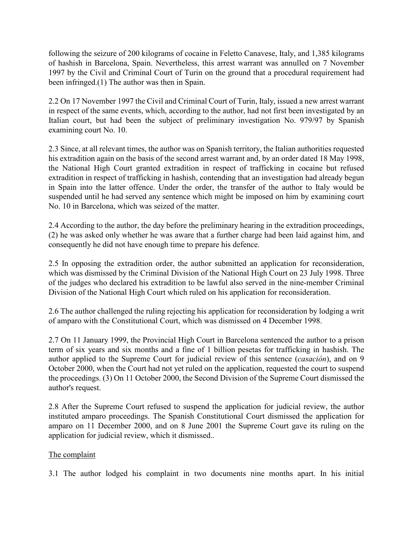following the seizure of 200 kilograms of cocaine in Feletto Canavese, Italy, and 1,385 kilograms of hashish in Barcelona, Spain. Nevertheless, this arrest warrant was annulled on 7 November 1997 by the Civil and Criminal Court of Turin on the ground that a procedural requirement had been infringed.(1) The author was then in Spain.

2.2 On 17 November 1997 the Civil and Criminal Court of Turin, Italy, issued a new arrest warrant in respect of the same events, which, according to the author, had not first been investigated by an Italian court, but had been the subject of preliminary investigation No. 979/97 by Spanish examining court No. 10.

2.3 Since, at all relevant times, the author was on Spanish territory, the Italian authorities requested his extradition again on the basis of the second arrest warrant and, by an order dated 18 May 1998, the National High Court granted extradition in respect of trafficking in cocaine but refused extradition in respect of trafficking in hashish, contending that an investigation had already begun in Spain into the latter offence. Under the order, the transfer of the author to Italy would be suspended until he had served any sentence which might be imposed on him by examining court No. 10 in Barcelona, which was seized of the matter.

2.4 According to the author, the day before the preliminary hearing in the extradition proceedings, (2) he was asked only whether he was aware that a further charge had been laid against him, and consequently he did not have enough time to prepare his defence.

2.5 In opposing the extradition order, the author submitted an application for reconsideration, which was dismissed by the Criminal Division of the National High Court on 23 July 1998. Three of the judges who declared his extradition to be lawful also served in the nine-member Criminal Division of the National High Court which ruled on his application for reconsideration.

2.6 The author challenged the ruling rejecting his application for reconsideration by lodging a writ of amparo with the Constitutional Court, which was dismissed on 4 December 1998.

2.7 On 11 January 1999, the Provincial High Court in Barcelona sentenced the author to a prison term of six years and six months and a fine of 1 billion pesetas for trafficking in hashish. The author applied to the Supreme Court for judicial review of this sentence (casación), and on 9 October 2000, when the Court had not yet ruled on the application, requested the court to suspend the proceedings. (3) On 11 October 2000, the Second Division of the Supreme Court dismissed the author's request.

2.8 After the Supreme Court refused to suspend the application for judicial review, the author instituted amparo proceedings. The Spanish Constitutional Court dismissed the application for amparo on 11 December 2000, and on 8 June 2001 the Supreme Court gave its ruling on the application for judicial review, which it dismissed..

# The complaint

3.1 The author lodged his complaint in two documents nine months apart. In his initial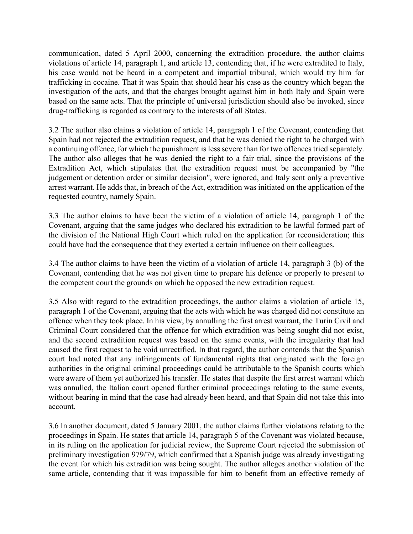communication, dated 5 April 2000, concerning the extradition procedure, the author claims violations of article 14, paragraph 1, and article 13, contending that, if he were extradited to Italy, his case would not be heard in a competent and impartial tribunal, which would try him for trafficking in cocaine. That it was Spain that should hear his case as the country which began the investigation of the acts, and that the charges brought against him in both Italy and Spain were based on the same acts. That the principle of universal jurisdiction should also be invoked, since drug-trafficking is regarded as contrary to the interests of all States.

3.2 The author also claims a violation of article 14, paragraph 1 of the Covenant, contending that Spain had not rejected the extradition request, and that he was denied the right to be charged with a continuing offence, for which the punishment is less severe than for two offences tried separately. The author also alleges that he was denied the right to a fair trial, since the provisions of the Extradition Act, which stipulates that the extradition request must be accompanied by "the judgement or detention order or similar decision", were ignored, and Italy sent only a preventive arrest warrant. He adds that, in breach of the Act, extradition was initiated on the application of the requested country, namely Spain.

3.3 The author claims to have been the victim of a violation of article 14, paragraph 1 of the Covenant, arguing that the same judges who declared his extradition to be lawful formed part of the division of the National High Court which ruled on the application for reconsideration; this could have had the consequence that they exerted a certain influence on their colleagues.

3.4 The author claims to have been the victim of a violation of article 14, paragraph 3 (b) of the Covenant, contending that he was not given time to prepare his defence or properly to present to the competent court the grounds on which he opposed the new extradition request.

3.5 Also with regard to the extradition proceedings, the author claims a violation of article 15, paragraph 1 of the Covenant, arguing that the acts with which he was charged did not constitute an offence when they took place. In his view, by annulling the first arrest warrant, the Turin Civil and Criminal Court considered that the offence for which extradition was being sought did not exist, and the second extradition request was based on the same events, with the irregularity that had caused the first request to be void unrectified. In that regard, the author contends that the Spanish court had noted that any infringements of fundamental rights that originated with the foreign authorities in the original criminal proceedings could be attributable to the Spanish courts which were aware of them yet authorized his transfer. He states that despite the first arrest warrant which was annulled, the Italian court opened further criminal proceedings relating to the same events, without bearing in mind that the case had already been heard, and that Spain did not take this into account.

3.6 In another document, dated 5 January 2001, the author claims further violations relating to the proceedings in Spain. He states that article 14, paragraph 5 of the Covenant was violated because, in its ruling on the application for judicial review, the Supreme Court rejected the submission of preliminary investigation 979/79, which confirmed that a Spanish judge was already investigating the event for which his extradition was being sought. The author alleges another violation of the same article, contending that it was impossible for him to benefit from an effective remedy of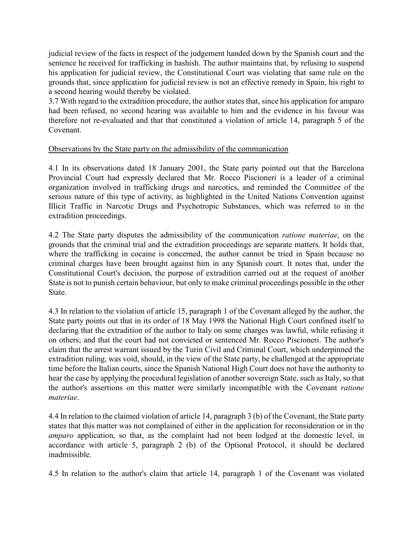judicial review of the facts in respect of the judgement handed down by the Spanish court and the sentence he received for trafficking in hashish. The author maintains that, by refusing to suspend his application for judicial review, the Constitutional Court was violating that same rule on the grounds that, since application for judicial review is not an effective remedy in Spain, his right to a second hearing would thereby be violated.

3.7 With regard to the extradition procedure, the author states that, since his application for amparo had been refused, no second hearing was available to him and the evidence in his favour was therefore not re-evaluated and that that constituted a violation of article 14, paragraph 5 of the Covenant.

## Observations by the State party on the admissibility of the communication

4.1 In its observations dated 18 January 2001, the State party pointed out that the Barcelona Provincial Court had expressly declared that Mr. Rocco Piscioneri is a leader of a criminal organization involved in trafficking drugs and narcotics, and reminded the Committee of the serious nature of this type of activity, as highlighted in the United Nations Convention against Illicit Traffic in Narcotic Drugs and Psychotropic Substances, which was referred to in the extradition proceedings.

4.2 The State party disputes the admissibility of the communication *ratione materiae*, on the grounds that the criminal trial and the extradition proceedings are separate matters. It holds that, where the trafficking in cocaine is concerned, the author cannot be tried in Spain because no criminal charges have been brought against him in any Spanish court. It notes that, under the Constitutional Court's decision, the purpose of extradition carried out at the request of another State is not to punish certain behaviour, but only to make criminal proceedings possible in the other State.

4.3 In relation to the violation of article 15, paragraph 1 of the Covenant alleged by the author, the State party points out that in its order of 18 May 1998 the National High Court confined itself to declaring that the extradition of the author to Italy on some charges was lawful, while refusing it on others; and that the court had not convicted or sentenced Mr. Rocco Piscioneri. The author's claim that the arrest warrant issued by the Turin Civil and Criminal Court, which underpinned the extradition ruling, was void, should, in the view of the State party, be challenged at the appropriate time before the Italian courts, since the Spanish National High Court does not have the authority to hear the case by applying the procedural legislation of another sovereign State, such as Italy, so that the author's assertions on this matter were similarly incompatible with the Covenant ratione materiae.

4.4 In relation to the claimed violation of article 14, paragraph 3 (b) of the Covenant, the State party states that this matter was not complained of either in the application for reconsideration or in the amparo application, so that, as the complaint had not been lodged at the domestic level, in accordance with article 5, paragraph 2 (b) of the Optional Protocol, it should be declared inadmissible.

4.5 In relation to the author's claim that article 14, paragraph 1 of the Covenant was violated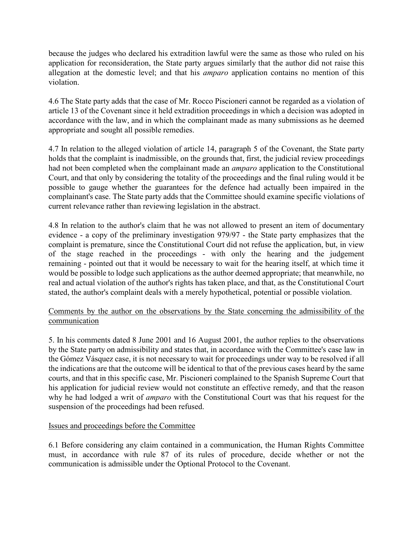because the judges who declared his extradition lawful were the same as those who ruled on his application for reconsideration, the State party argues similarly that the author did not raise this allegation at the domestic level; and that his *amparo* application contains no mention of this violation.

4.6 The State party adds that the case of Mr. Rocco Piscioneri cannot be regarded as a violation of article 13 of the Covenant since it held extradition proceedings in which a decision was adopted in accordance with the law, and in which the complainant made as many submissions as he deemed appropriate and sought all possible remedies.

4.7 In relation to the alleged violation of article 14, paragraph 5 of the Covenant, the State party holds that the complaint is inadmissible, on the grounds that, first, the judicial review proceedings had not been completed when the complainant made an amparo application to the Constitutional Court, and that only by considering the totality of the proceedings and the final ruling would it be possible to gauge whether the guarantees for the defence had actually been impaired in the complainant's case. The State party adds that the Committee should examine specific violations of current relevance rather than reviewing legislation in the abstract.

4.8 In relation to the author's claim that he was not allowed to present an item of documentary evidence - a copy of the preliminary investigation 979/97 - the State party emphasizes that the complaint is premature, since the Constitutional Court did not refuse the application, but, in view of the stage reached in the proceedings - with only the hearing and the judgement remaining - pointed out that it would be necessary to wait for the hearing itself, at which time it would be possible to lodge such applications as the author deemed appropriate; that meanwhile, no real and actual violation of the author's rights has taken place, and that, as the Constitutional Court stated, the author's complaint deals with a merely hypothetical, potential or possible violation.

# Comments by the author on the observations by the State concerning the admissibility of the communication

5. In his comments dated 8 June 2001 and 16 August 2001, the author replies to the observations by the State party on admissibility and states that, in accordance with the Committee's case law in the Gómez Vásquez case, it is not necessary to wait for proceedings under way to be resolved if all the indications are that the outcome will be identical to that of the previous cases heard by the same courts, and that in this specific case, Mr. Piscioneri complained to the Spanish Supreme Court that his application for judicial review would not constitute an effective remedy, and that the reason why he had lodged a writ of *amparo* with the Constitutional Court was that his request for the suspension of the proceedings had been refused.

## Issues and proceedings before the Committee

6.1 Before considering any claim contained in a communication, the Human Rights Committee must, in accordance with rule 87 of its rules of procedure, decide whether or not the communication is admissible under the Optional Protocol to the Covenant.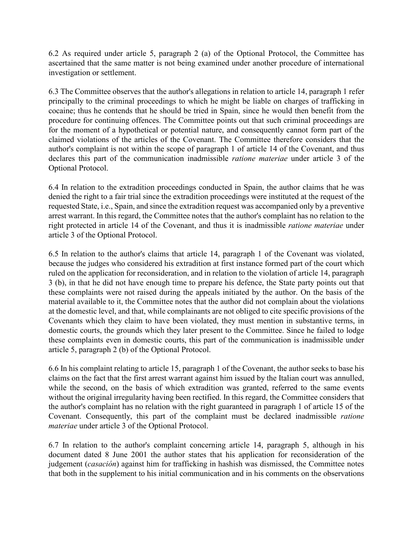6.2 As required under article 5, paragraph 2 (a) of the Optional Protocol, the Committee has ascertained that the same matter is not being examined under another procedure of international investigation or settlement.

6.3 The Committee observes that the author's allegations in relation to article 14, paragraph 1 refer principally to the criminal proceedings to which he might be liable on charges of trafficking in cocaine; thus he contends that he should be tried in Spain, since he would then benefit from the procedure for continuing offences. The Committee points out that such criminal proceedings are for the moment of a hypothetical or potential nature, and consequently cannot form part of the claimed violations of the articles of the Covenant. The Committee therefore considers that the author's complaint is not within the scope of paragraph 1 of article 14 of the Covenant, and thus declares this part of the communication inadmissible ratione materiae under article 3 of the Optional Protocol.

6.4 In relation to the extradition proceedings conducted in Spain, the author claims that he was denied the right to a fair trial since the extradition proceedings were instituted at the request of the requested State, i.e., Spain, and since the extradition request was accompanied only by a preventive arrest warrant. In this regard, the Committee notes that the author's complaint has no relation to the right protected in article 14 of the Covenant, and thus it is inadmissible ratione materiae under article 3 of the Optional Protocol.

6.5 In relation to the author's claims that article 14, paragraph 1 of the Covenant was violated, because the judges who considered his extradition at first instance formed part of the court which ruled on the application for reconsideration, and in relation to the violation of article 14, paragraph 3 (b), in that he did not have enough time to prepare his defence, the State party points out that these complaints were not raised during the appeals initiated by the author. On the basis of the material available to it, the Committee notes that the author did not complain about the violations at the domestic level, and that, while complainants are not obliged to cite specific provisions of the Covenants which they claim to have been violated, they must mention in substantive terms, in domestic courts, the grounds which they later present to the Committee. Since he failed to lodge these complaints even in domestic courts, this part of the communication is inadmissible under article 5, paragraph 2 (b) of the Optional Protocol.

6.6 In his complaint relating to article 15, paragraph 1 of the Covenant, the author seeks to base his claims on the fact that the first arrest warrant against him issued by the Italian court was annulled, while the second, on the basis of which extradition was granted, referred to the same events without the original irregularity having been rectified. In this regard, the Committee considers that the author's complaint has no relation with the right guaranteed in paragraph 1 of article 15 of the Covenant. Consequently, this part of the complaint must be declared inadmissible ratione materiae under article 3 of the Optional Protocol.

6.7 In relation to the author's complaint concerning article 14, paragraph 5, although in his document dated 8 June 2001 the author states that his application for reconsideration of the judgement (*casación*) against him for trafficking in hashish was dismissed, the Committee notes that both in the supplement to his initial communication and in his comments on the observations